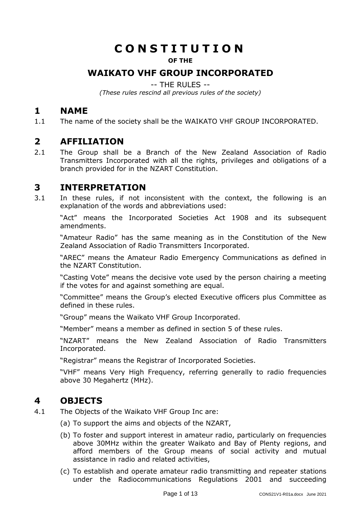# **C O N S T I T U T I O N**

#### **OF THE**

# **WAIKATO VHF GROUP INCORPORATED**

-- THE RULES --

*(These rules rescind all previous rules of the society)*

# <span id="page-0-0"></span>**1 NAME**

1.1 The name of the society shall be the WAIKATO VHF GROUP INCORPORATED.

# <span id="page-0-1"></span>**2 AFFILIATION**

2.1 The Group shall be a Branch of the New Zealand Association of Radio Transmitters Incorporated with all the rights, privileges and obligations of a branch provided for in the NZART Constitution.

# <span id="page-0-2"></span>**3 INTERPRETATION**

3.1 In these rules, if not inconsistent with the context, the following is an explanation of the words and abbreviations used:

"Act" means the Incorporated Societies Act 1908 and its subsequent amendments.

"Amateur Radio" has the same meaning as in the Constitution of the New Zealand Association of Radio Transmitters Incorporated.

"AREC" means the Amateur Radio Emergency Communications as defined in the NZART Constitution.

"Casting Vote" means the decisive vote used by the person chairing a meeting if the votes for and against something are equal.

"Committee" means the Group's elected Executive officers plus Committee as defined in these rules.

"Group" means the Waikato VHF Group Incorporated.

"Member" means a member as defined in section 5 of these rules.

"NZART" means the New Zealand Association of Radio Transmitters Incorporated.

"Registrar" means the Registrar of Incorporated Societies.

"VHF" means Very High Frequency, referring generally to radio frequencies above 30 Megahertz (MHz).

# <span id="page-0-3"></span>**4 OBJECTS**

- 4.1 The Objects of the Waikato VHF Group Inc are:
	- (a) To support the aims and objects of the NZART,
	- (b) To foster and support interest in amateur radio, particularly on frequencies above 30MHz within the greater Waikato and Bay of Plenty regions, and afford members of the Group means of social activity and mutual assistance in radio and related activities,
	- (c) To establish and operate amateur radio transmitting and repeater stations under the Radiocommunications Regulations 2001 and succeeding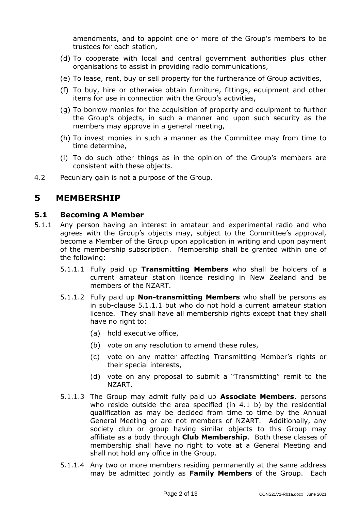amendments, and to appoint one or more of the Group's members to be trustees for each station,

- (d) To cooperate with local and central government authorities plus other organisations to assist in providing radio communications,
- (e) To lease, rent, buy or sell property for the furtherance of Group activities,
- (f) To buy, hire or otherwise obtain furniture, fittings, equipment and other items for use in connection with the Group's activities,
- (g) To borrow monies for the acquisition of property and equipment to further the Group's objects, in such a manner and upon such security as the members may approve in a general meeting,
- (h) To invest monies in such a manner as the Committee may from time to time determine,
- (i) To do such other things as in the opinion of the Group's members are consistent with these objects.
- 4.2 Pecuniary gain is not a purpose of the Group.

# <span id="page-1-0"></span>**5 MEMBERSHIP**

#### <span id="page-1-1"></span>**5.1 Becoming A Member**

- 5.1.1 Any person having an interest in amateur and experimental radio and who agrees with the Group's objects may, subject to the Committee's approval, become a Member of the Group upon application in writing and upon payment of the membership subscription. Membership shall be granted within one of the following:
	- 5.1.1.1 Fully paid up **Transmitting Members** who shall be holders of a current amateur station licence residing in New Zealand and be members of the NZART.
	- 5.1.1.2 Fully paid up **Non-transmitting Members** who shall be persons as in sub-clause 5.1.1.1 but who do not hold a current amateur station licence. They shall have all membership rights except that they shall have no right to:
		- (a) hold executive office,
		- (b) vote on any resolution to amend these rules,
		- (c) vote on any matter affecting Transmitting Member's rights or their special interests,
		- (d) vote on any proposal to submit a "Transmitting" remit to the NZART.
	- 5.1.1.3 The Group may admit fully paid up **Associate Members**, persons who reside outside the area specified (in 4.1 b) by the residential qualification as may be decided from time to time by the Annual General Meeting or are not members of NZART. Additionally, any society club or group having similar objects to this Group may affiliate as a body through **Club Membership**. Both these classes of membership shall have no right to vote at a General Meeting and shall not hold any office in the Group.
	- 5.1.1.4 Any two or more members residing permanently at the same address may be admitted jointly as **Family Members** of the Group. Each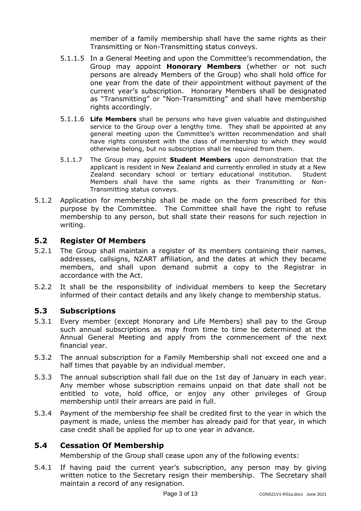member of a family membership shall have the same rights as their Transmitting or Non-Transmitting status conveys.

- 5.1.1.5 In a General Meeting and upon the Committee's recommendation, the Group may appoint **Honorary Members** (whether or not such persons are already Members of the Group) who shall hold office for one year from the date of their appointment without payment of the current year's subscription. Honorary Members shall be designated as "Transmitting" or "Non-Transmitting" and shall have membership rights accordingly.
- 5.1.1.6 **Life Members** shall be persons who have given valuable and distinguished service to the Group over a lengthy time. They shall be appointed at any general meeting upon the Committee's written recommendation and shall have rights consistent with the class of membership to which they would otherwise belong, but no subscription shall be required from them.
- 5.1.1.7 The Group may appoint **Student Members** upon [demonstration](https://www.royalsociety.org.nz/who-we-are/our-rules-and-codes/general-rules/royal-society-of-new-zealand/procedures-and-schedules-to-general-rules/student-member-criteria/) that the applicant is resident in New Zealand and currently enrolled in study at a New Zealand secondary school or tertiary educational institution. Student Members shall have the same rights as their Transmitting or Non-Transmitting status conveys.
- 5.1.2 Application for membership shall be made on the form prescribed for this purpose by the Committee. The Committee shall have the right to refuse membership to any person, but shall state their reasons for such rejection in writing.

#### <span id="page-2-0"></span>**5.2 Register Of Members**

- 5.2.1 The Group shall maintain a register of its members containing their names, addresses, callsigns, NZART affiliation, and the dates at which they became members, and shall upon demand submit a copy to the Registrar in accordance with the Act.
- 5.2.2 It shall be the responsibility of individual members to keep the Secretary informed of their contact details and any likely change to membership status.

#### <span id="page-2-1"></span>**5.3 Subscriptions**

- 5.3.1 Every member (except Honorary and Life Members) shall pay to the Group such annual subscriptions as may from time to time be determined at the Annual General Meeting and apply from the commencement of the next financial year.
- 5.3.2 The annual subscription for a Family Membership shall not exceed one and a half times that payable by an individual member.
- 5.3.3 The annual subscription shall fall due on the 1st day of January in each year. Any member whose subscription remains unpaid on that date shall not be entitled to vote, hold office, or enjoy any other privileges of Group membership until their arrears are paid in full.
- 5.3.4 Payment of the membership fee shall be credited first to the year in which the payment is made, unless the member has already paid for that year, in which case credit shall be applied for up to one year in advance.

### <span id="page-2-2"></span>**5.4 Cessation Of Membership**

Membership of the Group shall cease upon any of the following events:

5.4.1 If having paid the current year's subscription, any person may by giving written notice to the Secretary resign their membership. The Secretary shall maintain a record of any resignation.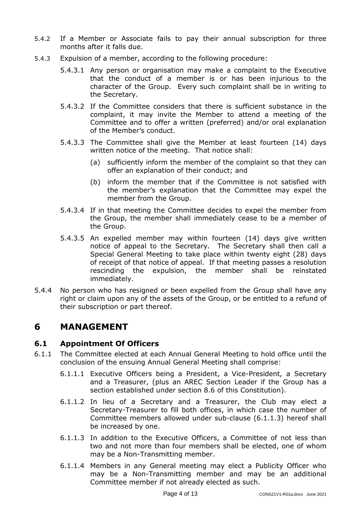- 5.4.2 If a Member or Associate fails to pay their annual subscription for three months after it falls due.
- 5.4.3 Expulsion of a member, according to the following procedure:
	- 5.4.3.1 Any person or organisation may make a complaint to the Executive that the conduct of a member is or has been injurious to the character of the Group. Every such complaint shall be in writing to the Secretary.
	- 5.4.3.2 If the Committee considers that there is sufficient substance in the complaint, it may invite the Member to attend a meeting of the Committee and to offer a written (preferred) and/or oral explanation of the Member's conduct.
	- 5.4.3.3 The Committee shall give the Member at least fourteen (14) days written notice of the meeting. That notice shall:
		- (a) sufficiently inform the member of the complaint so that they can offer an explanation of their conduct; and
		- (b) inform the member that if the Committee is not satisfied with the member's explanation that the Committee may expel the member from the Group.
	- 5.4.3.4 If in that meeting the Committee decides to expel the member from the Group, the member shall immediately cease to be a member of the Group.
	- 5.4.3.5 An expelled member may within fourteen (14) days give written notice of appeal to the Secretary. The Secretary shall then call a Special General Meeting to take place within twenty eight (28) days of receipt of that notice of appeal. If that meeting passes a resolution rescinding the expulsion, the member shall be reinstated immediately.
- 5.4.4 No person who has resigned or been expelled from the Group shall have any right or claim upon any of the assets of the Group, or be entitled to a refund of their subscription or part thereof.

# <span id="page-3-0"></span>**6 MANAGEMENT**

### <span id="page-3-1"></span>**6.1 Appointment Of Officers**

- 6.1.1 The Committee elected at each Annual General Meeting to hold office until the conclusion of the ensuing Annual General Meeting shall comprise:
	- 6.1.1.1 Executive Officers being a President, a Vice-President, a Secretary and a Treasurer, (plus an AREC Section Leader if the Group has a section established under section 8.6 of this Constitution).
	- 6.1.1.2 In lieu of a Secretary and a Treasurer, the Club may elect a Secretary-Treasurer to fill both offices, in which case the number of Committee members allowed under sub-clause (6.1.1.3) hereof shall be increased by one.
	- 6.1.1.3 In addition to the Executive Officers, a Committee of not less than two and not more than four members shall be elected, one of whom may be a Non-Transmitting member.
	- 6.1.1.4 Members in any General meeting may elect a Publicity Officer who may be a Non-Transmitting member and may be an additional Committee member if not already elected as such.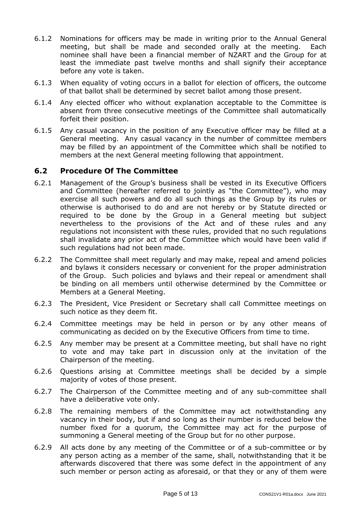- 6.1.2 Nominations for officers may be made in writing prior to the Annual General meeting, but shall be made and seconded orally at the meeting. Each nominee shall have been a financial member of NZART and the Group for at least the immediate past twelve months and shall signify their acceptance before any vote is taken.
- 6.1.3 When equality of voting occurs in a ballot for election of officers, the outcome of that ballot shall be determined by secret ballot among those present.
- 6.1.4 Any elected officer who without explanation acceptable to the Committee is absent from three consecutive meetings of the Committee shall automatically forfeit their position.
- 6.1.5 Any casual vacancy in the position of any Executive officer may be filled at a General meeting. Any casual vacancy in the number of committee members may be filled by an appointment of the Committee which shall be notified to members at the next General meeting following that appointment.

### <span id="page-4-0"></span>**6.2 Procedure Of The Committee**

- 6.2.1 Management of the Group's business shall be vested in its Executive Officers and Committee (hereafter referred to jointly as "the Committee"), who may exercise all such powers and do all such things as the Group by its rules or otherwise is authorised to do and are not hereby or by Statute directed or required to be done by the Group in a General meeting but subject nevertheless to the provisions of the Act and of these rules and any regulations not inconsistent with these rules, provided that no such regulations shall invalidate any prior act of the Committee which would have been valid if such regulations had not been made.
- 6.2.2 The Committee shall meet regularly and may make, repeal and amend policies and bylaws it considers necessary or convenient for the proper administration of the Group. Such policies and bylaws and their repeal or amendment shall be binding on all members until otherwise determined by the Committee or Members at a General Meeting.
- 6.2.3 The President, Vice President or Secretary shall call Committee meetings on such notice as they deem fit.
- 6.2.4 Committee meetings may be held in person or by any other means of communicating as decided on by the Executive Officers from time to time.
- 6.2.5 Any member may be present at a Committee meeting, but shall have no right to vote and may take part in discussion only at the invitation of the Chairperson of the meeting.
- 6.2.6 Questions arising at Committee meetings shall be decided by a simple majority of votes of those present.
- 6.2.7 The Chairperson of the Committee meeting and of any sub-committee shall have a deliberative vote only.
- 6.2.8 The remaining members of the Committee may act notwithstanding any vacancy in their body, but if and so long as their number is reduced below the number fixed for a quorum, the Committee may act for the purpose of summoning a General meeting of the Group but for no other purpose.
- 6.2.9 All acts done by any meeting of the Committee or of a sub-committee or by any person acting as a member of the same, shall, notwithstanding that it be afterwards discovered that there was some defect in the appointment of any such member or person acting as aforesaid, or that they or any of them were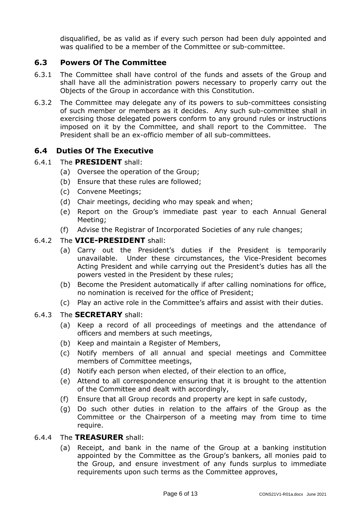disqualified, be as valid as if every such person had been duly appointed and was qualified to be a member of the Committee or sub-committee.

# <span id="page-5-0"></span>**6.3 Powers Of The Committee**

- 6.3.1 The Committee shall have control of the funds and assets of the Group and shall have all the administration powers necessary to properly carry out the Objects of the Group in accordance with this Constitution.
- 6.3.2 The Committee may delegate any of its powers to sub-committees consisting of such member or members as it decides. Any such sub-committee shall in exercising those delegated powers conform to any ground rules or instructions imposed on it by the Committee, and shall report to the Committee. The President shall be an ex-officio member of all sub-committees.

## <span id="page-5-1"></span>**6.4 Duties Of The Executive**

#### 6.4.1 The **PRESIDENT** shall:

- (a) Oversee the operation of the Group;
- (b) Ensure that these rules are followed;
- (c) Convene Meetings;
- (d) Chair meetings, deciding who may speak and when;
- (e) Report on the Group's immediate past year to each Annual General Meeting;
- (f) Advise the Registrar of Incorporated Societies of any rule changes;

#### 6.4.2 The **VICE-PRESIDENT** shall:

- (a) Carry out the President's duties if the President is temporarily unavailable. Under these circumstances, the Vice-President becomes Acting President and while carrying out the President's duties has all the powers vested in the President by these rules;
- (b) Become the President automatically if after calling nominations for office, no nomination is received for the office of President;
- (c) Play an active role in the Committee's affairs and assist with their duties.

#### 6.4.3 The **SECRETARY** shall:

- (a) Keep a record of all proceedings of meetings and the attendance of officers and members at such meetings,
- (b) Keep and maintain a Register of Members,
- (c) Notify members of all annual and special meetings and Committee members of Committee meetings,
- (d) Notify each person when elected, of their election to an office,
- (e) Attend to all correspondence ensuring that it is brought to the attention of the Committee and dealt with accordingly,
- (f) Ensure that all Group records and property are kept in safe custody,
- (g) Do such other duties in relation to the affairs of the Group as the Committee or the Chairperson of a meeting may from time to time require.
- 6.4.4 The **TREASURER** shall:
	- (a) Receipt, and bank in the name of the Group at a banking institution appointed by the Committee as the Group's bankers, all monies paid to the Group, and ensure investment of any funds surplus to immediate requirements upon such terms as the Committee approves,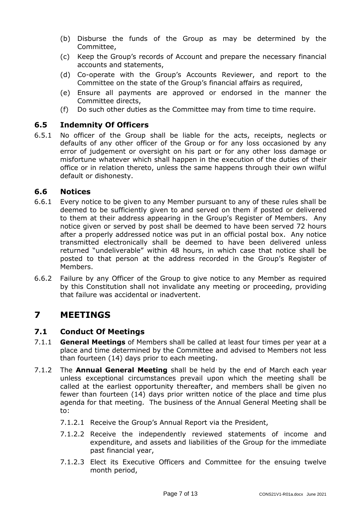- (b) Disburse the funds of the Group as may be determined by the Committee,
- (c) Keep the Group's records of Account and prepare the necessary financial accounts and statements,
- (d) Co-operate with the Group's Accounts Reviewer, and report to the Committee on the state of the Group's financial affairs as required,
- (e) Ensure all payments are approved or endorsed in the manner the Committee directs,
- (f) Do such other duties as the Committee may from time to time require.

#### <span id="page-6-0"></span>**6.5 Indemnity Of Officers**

6.5.1 No officer of the Group shall be liable for the acts, receipts, neglects or defaults of any other officer of the Group or for any loss occasioned by any error of judgement or oversight on his part or for any other loss damage or misfortune whatever which shall happen in the execution of the duties of their office or in relation thereto, unless the same happens through their own wilful default or dishonesty.

#### <span id="page-6-1"></span>**6.6 Notices**

- 6.6.1 Every notice to be given to any Member pursuant to any of these rules shall be deemed to be sufficiently given to and served on them if posted or delivered to them at their address appearing in the Group's Register of Members. Any notice given or served by post shall be deemed to have been served 72 hours after a properly addressed notice was put in an official postal box. Any notice transmitted electronically shall be deemed to have been delivered unless returned "undeliverable" within 48 hours, in which case that notice shall be posted to that person at the address recorded in the Group's Register of Members.
- 6.6.2 Failure by any Officer of the Group to give notice to any Member as required by this Constitution shall not invalidate any meeting or proceeding, providing that failure was accidental or inadvertent.

# <span id="page-6-2"></span>**7 MEETINGS**

### <span id="page-6-3"></span>**7.1 Conduct Of Meetings**

- 7.1.1 **General Meetings** of Members shall be called at least four times per year at a place and time determined by the Committee and advised to Members not less than fourteen (14) days prior to each meeting.
- 7.1.2 The **Annual General Meeting** shall be held by the end of March each year unless exceptional circumstances prevail upon which the meeting shall be called at the earliest opportunity thereafter, and members shall be given no fewer than fourteen (14) days prior written notice of the place and time plus agenda for that meeting. The business of the Annual General Meeting shall be to:
	- 7.1.2.1 Receive the Group's Annual Report via the President,
	- 7.1.2.2 Receive the independently reviewed statements of income and expenditure, and assets and liabilities of the Group for the immediate past financial year,
	- 7.1.2.3 Elect its Executive Officers and Committee for the ensuing twelve month period,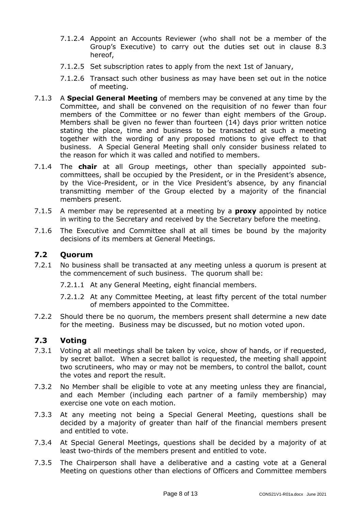- 7.1.2.4 Appoint an Accounts Reviewer (who shall not be a member of the Group's Executive) to carry out the duties set out in clause 8.3 hereof,
- 7.1.2.5 Set subscription rates to apply from the next 1st of January,
- 7.1.2.6 Transact such other business as may have been set out in the notice of meeting.
- 7.1.3 A **Special General Meeting** of members may be convened at any time by the Committee, and shall be convened on the requisition of no fewer than four members of the Committee or no fewer than eight members of the Group. Members shall be given no fewer than fourteen (14) days prior written notice stating the place, time and business to be transacted at such a meeting together with the wording of any proposed motions to give effect to that business. A Special General Meeting shall only consider business related to the reason for which it was called and notified to members.
- 7.1.4 The **chair** at all Group meetings, other than specially appointed subcommittees, shall be occupied by the President, or in the President's absence, by the Vice-President, or in the Vice President's absence, by any financial transmitting member of the Group elected by a majority of the financial members present.
- 7.1.5 A member may be represented at a meeting by a **proxy** appointed by notice in writing to the Secretary and received by the Secretary before the meeting.
- 7.1.6 The Executive and Committee shall at all times be bound by the majority decisions of its members at General Meetings.

#### <span id="page-7-0"></span>**7.2 Quorum**

7.2.1 No business shall be transacted at any meeting unless a quorum is present at the commencement of such business. The quorum shall be:

7.2.1.1 At any General Meeting, eight financial members.

- 7.2.1.2 At any Committee Meeting, at least fifty percent of the total number of members appointed to the Committee.
- 7.2.2 Should there be no quorum, the members present shall determine a new date for the meeting. Business may be discussed, but no motion voted upon.

### <span id="page-7-1"></span>**7.3 Voting**

- 7.3.1 Voting at all meetings shall be taken by voice, show of hands, or if requested, by secret ballot. When a secret ballot is requested, the meeting shall appoint two scrutineers, who may or may not be members, to control the ballot, count the votes and report the result.
- 7.3.2 No Member shall be eligible to vote at any meeting unless they are financial, and each Member (including each partner of a family membership) may exercise one vote on each motion.
- 7.3.3 At any meeting not being a Special General Meeting, questions shall be decided by a majority of greater than half of the financial members present and entitled to vote.
- 7.3.4 At Special General Meetings, questions shall be decided by a majority of at least two-thirds of the members present and entitled to vote.
- 7.3.5 The Chairperson shall have a deliberative and a casting vote at a General Meeting on questions other than elections of Officers and Committee members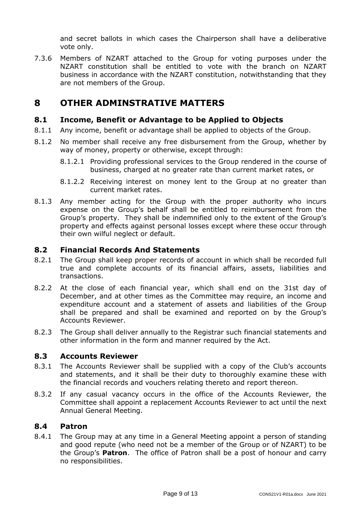and secret ballots in which cases the Chairperson shall have a deliberative vote only.

7.3.6 Members of NZART attached to the Group for voting purposes under the NZART constitution shall be entitled to vote with the branch on NZART business in accordance with the NZART constitution, notwithstanding that they are not members of the Group.

# <span id="page-8-0"></span>**8 OTHER ADMINSTRATIVE MATTERS**

### <span id="page-8-1"></span>**8.1 Income, Benefit or Advantage to be Applied to Objects**

- 8.1.1 Any income, benefit or advantage shall be applied to objects of the Group.
- 8.1.2 No member shall receive any free disbursement from the Group, whether by way of money, property or otherwise, except through:
	- 8.1.2.1 Providing professional services to the Group rendered in the course of business, charged at no greater rate than current market rates, or
	- 8.1.2.2 Receiving interest on money lent to the Group at no greater than current market rates.
- 8.1.3 Any member acting for the Group with the proper authority who incurs expense on the Group's behalf shall be entitled to reimbursement from the Group's property. They shall be indemnified only to the extent of the Group's property and effects against personal losses except where these occur through their own wilful neglect or default.

#### <span id="page-8-2"></span>**8.2 Financial Records And Statements**

- 8.2.1 The Group shall keep proper records of account in which shall be recorded full true and complete accounts of its financial affairs, assets, liabilities and transactions.
- 8.2.2 At the close of each financial year, which shall end on the 31st day of December, and at other times as the Committee may require, an income and expenditure account and a statement of assets and liabilities of the Group shall be prepared and shall be examined and reported on by the Group's Accounts Reviewer.
- 8.2.3 The Group shall deliver annually to the Registrar such financial statements and other information in the form and manner required by the Act.

#### <span id="page-8-3"></span>**8.3 Accounts Reviewer**

- 8.3.1 The Accounts Reviewer shall be supplied with a copy of the Club's accounts and statements, and it shall be their duty to thoroughly examine these with the financial records and vouchers relating thereto and report thereon.
- 8.3.2 If any casual vacancy occurs in the office of the Accounts Reviewer, the Committee shall appoint a replacement Accounts Reviewer to act until the next Annual General Meeting.

#### <span id="page-8-4"></span>**8.4 Patron**

8.4.1 The Group may at any time in a General Meeting appoint a person of standing and good repute (who need not be a member of the Group or of NZART) to be the Group's **Patron**. The office of Patron shall be a post of honour and carry no responsibilities.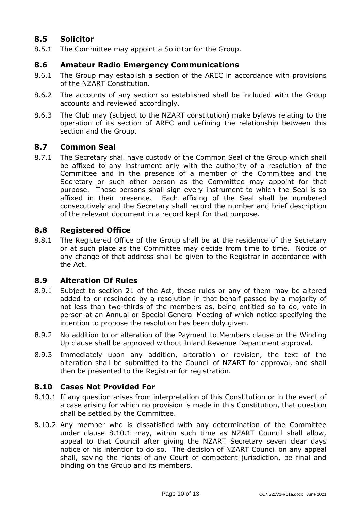## <span id="page-9-0"></span>**8.5 Solicitor**

8.5.1 The Committee may appoint a Solicitor for the Group.

### <span id="page-9-1"></span>**8.6 Amateur Radio Emergency Communications**

- 8.6.1 The Group may establish a section of the AREC in accordance with provisions of the NZART Constitution.
- 8.6.2 The accounts of any section so established shall be included with the Group accounts and reviewed accordingly.
- 8.6.3 The Club may (subject to the NZART constitution) make bylaws relating to the operation of its section of AREC and defining the relationship between this section and the Group.

### <span id="page-9-2"></span>**8.7 Common Seal**

8.7.1 The Secretary shall have custody of the Common Seal of the Group which shall be affixed to any instrument only with the authority of a resolution of the Committee and in the presence of a member of the Committee and the Secretary or such other person as the Committee may appoint for that purpose. Those persons shall sign every instrument to which the Seal is so affixed in their presence. Each affixing of the Seal shall be numbered consecutively and the Secretary shall record the number and brief description of the relevant document in a record kept for that purpose.

## <span id="page-9-3"></span>**8.8 Registered Office**

8.8.1 The Registered Office of the Group shall be at the residence of the Secretary or at such place as the Committee may decide from time to time. Notice of any change of that address shall be given to the Registrar in accordance with the Act.

### <span id="page-9-4"></span>**8.9 Alteration Of Rules**

- 8.9.1 Subject to section 21 of the Act, these rules or any of them may be altered added to or rescinded by a resolution in that behalf passed by a majority of not less than two-thirds of the members as, being entitled so to do, vote in person at an Annual or Special General Meeting of which notice specifying the intention to propose the resolution has been duly given.
- 8.9.2 No addition to or alteration of the Payment to Members clause or the Winding Up clause shall be approved without Inland Revenue Department approval.
- 8.9.3 Immediately upon any addition, alteration or revision, the text of the alteration shall be submitted to the Council of NZART for approval, and shall then be presented to the Registrar for registration.

### <span id="page-9-5"></span>**8.10 Cases Not Provided For**

- 8.10.1 If any question arises from interpretation of this Constitution or in the event of a case arising for which no provision is made in this Constitution, that question shall be settled by the Committee.
- 8.10.2 Any member who is dissatisfied with any determination of the Committee under clause 8.10.1 may, within such time as NZART Council shall allow, appeal to that Council after giving the NZART Secretary seven clear days notice of his intention to do so. The decision of NZART Council on any appeal shall, saving the rights of any Court of competent jurisdiction, be final and binding on the Group and its members.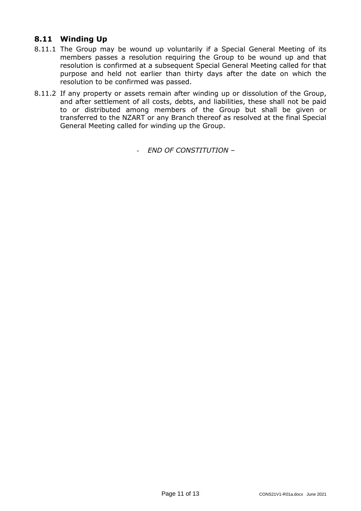### <span id="page-10-0"></span>**8.11 Winding Up**

- 8.11.1 The Group may be wound up voluntarily if a Special General Meeting of its members passes a resolution requiring the Group to be wound up and that resolution is confirmed at a subsequent Special General Meeting called for that purpose and held not earlier than thirty days after the date on which the resolution to be confirmed was passed.
- 8.11.2 If any property or assets remain after winding up or dissolution of the Group, and after settlement of all costs, debts, and liabilities, these shall not be paid to or distributed among members of the Group but shall be given or transferred to the NZART or any Branch thereof as resolved at the final Special General Meeting called for winding up the Group.

- *END OF CONSTITUTION –*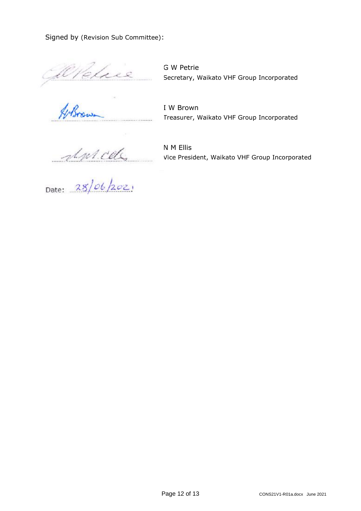Signed by (Revision Sub Committee):

GW Petrie<br>Secretary, Waikato VHF Group Incorporated<br>Management IV Brown

G W Petrie

I W Brown …………………………………………………… Treasurer, Waikato VHF Group Incorporated

 $\frac{d\psi\cdot\mathcal{C}d\zeta}{28|\psi\cdot|202|}$ 

N M Ellis Vice President, Waikato VHF Group Incorporated